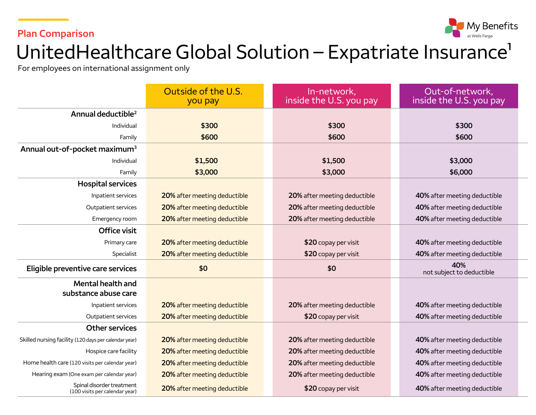#### **Plan Comparison**



# UnitedHealthcare Global Solution - Expatriate Insurance<sup>1</sup>

For employees on international assignment only

|                                                             | Outside of the U.S.<br>you pay | In-network,<br>inside the U.S. you pay | Out-of-network,<br>inside the U.S. you pay |
|-------------------------------------------------------------|--------------------------------|----------------------------------------|--------------------------------------------|
| Annual deductible <sup>2</sup>                              |                                |                                        |                                            |
| Individual                                                  | \$300                          | \$300                                  | \$300                                      |
| Family                                                      | \$600                          | \$600                                  | \$600                                      |
| Annual out-of-pocket maximum <sup>3</sup>                   |                                |                                        |                                            |
| Individual                                                  | \$1,500                        | \$1,500                                | \$3,000                                    |
| Family                                                      | \$3,000                        | \$3,000                                | \$6,000                                    |
| <b>Hospital services</b>                                    |                                |                                        |                                            |
| Inpatient services                                          | 20% after meeting deductible   | 20% after meeting deductible           | 40% after meeting deductible               |
| Outpatient services                                         | 20% after meeting deductible   | 20% after meeting deductible           | 40% after meeting deductible               |
| Emergency room                                              | 20% after meeting deductible   | 20% after meeting deductible           | 40% after meeting deductible               |
| Office visit                                                |                                |                                        |                                            |
| Primary care                                                | 20% after meeting deductible   | \$20 copay per visit                   | 40% after meeting deductible               |
| Specialist                                                  | 20% after meeting deductible   | \$20 copay per visit                   | 40% after meeting deductible               |
| Eligible preventive care services                           | \$0                            | \$0                                    | 40%<br>not subject to deductible           |
| <b>Mental health and</b><br>substance abuse care            |                                |                                        |                                            |
| Inpatient services                                          | 20% after meeting deductible   | 20% after meeting deductible           | 40% after meeting deductible               |
| Outpatient services                                         | 20% after meeting deductible   | \$20 copay per visit                   | 40% after meeting deductible               |
| <b>Other services</b>                                       |                                |                                        |                                            |
| Skilled nursing facility (120 days per calendar year)       | 20% after meeting deductible   | 20% after meeting deductible           | 40% after meeting deductible               |
| Hospice care facility                                       | 20% after meeting deductible   | 20% after meeting deductible           | 40% after meeting deductible               |
| Home health care (120 visits per calendar year)             | 20% after meeting deductible   | 20% after meeting deductible           | 40% after meeting deductible               |
| Hearing exam (One exam per calendar year)                   | 20% after meeting deductible   | 20% after meeting deductible           | 40% after meeting deductible               |
| Spinal disorder treatment<br>(100 visits per calendar year) | 20% after meeting deductible   | \$20 copay per visit                   | 40% after meeting deductible               |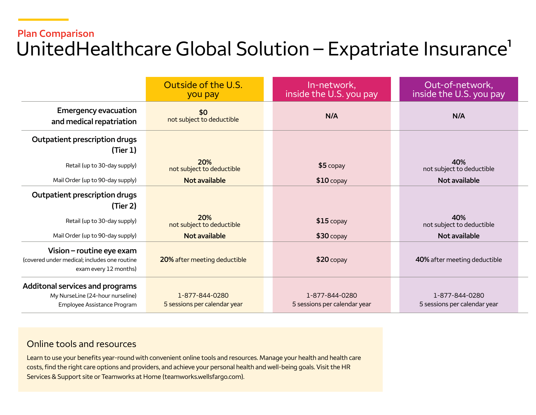## **Plan Comparison**  UnitedHealthcare Global Solution – Expatriate Insurance<sup>1</sup>

|                                                                                                    | Outside of the U.S.<br>you pay                 | In-network,<br>inside the U.S. you pay         | Out-of-network,<br>inside the U.S. you pay     |
|----------------------------------------------------------------------------------------------------|------------------------------------------------|------------------------------------------------|------------------------------------------------|
| <b>Emergency evacuation</b><br>and medical repatriation                                            | \$0<br>not subject to deductible               | N/A                                            | N/A                                            |
| Outpatient prescription drugs<br>(Tier 1)                                                          |                                                |                                                |                                                |
| Retail (up to 30-day supply)                                                                       | 20%<br>not subject to deductible               | $$5$ copay                                     | 40%<br>not subject to deductible               |
| Mail Order (up to 90-day supply)                                                                   | <b>Not available</b>                           | $$10$ copay                                    | Not available                                  |
| Outpatient prescription drugs<br>(Tier 2)                                                          |                                                |                                                |                                                |
| Retail (up to 30-day supply)                                                                       | 20%<br>not subject to deductible               | $$15$ copay                                    | 40%<br>not subject to deductible               |
| Mail Order (up to 90-day supply)                                                                   | Not available                                  | $$30$ copay                                    | Not available                                  |
| Vision – routine eye exam<br>(covered under medical; includes one routine<br>exam every 12 months) | 20% after meeting deductible                   | $$20$ copay                                    | 40% after meeting deductible                   |
| Additonal services and programs<br>My NurseLine (24-hour nurseline)<br>Employee Assistance Program | 1-877-844-0280<br>5 sessions per calendar year | 1-877-844-0280<br>5 sessions per calendar year | 1-877-844-0280<br>5 sessions per calendar year |

#### Online tools and resources

Learn to use your benefits year-round with convenient online tools and resources. Manage your health and health care costs, find the right care options and providers, and achieve your personal health and well-being goals. Visit the HR Services & Support site or Teamworks at Home ([teamworks.wellsfargo.com\)](http://teamworks.wellsfargo.com).